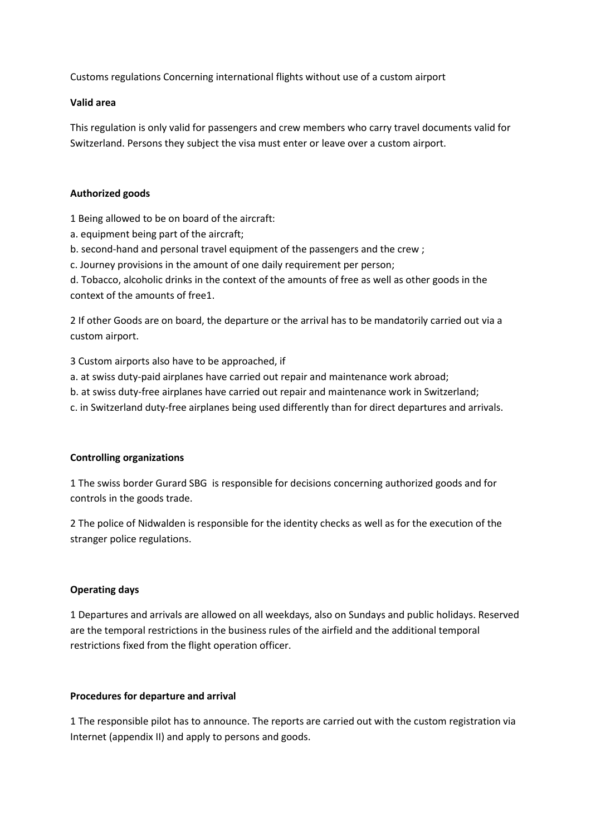Customs regulations Concerning international flights without use of a custom airport

### **Valid area**

This regulation is only valid for passengers and crew members who carry travel documents valid for Switzerland. Persons they subject the visa must enter or leave over a custom airport.

## **Authorized goods**

1 Being allowed to be on board of the aircraft:

- a. equipment being part of the aircraft;
- b. second-hand and personal travel equipment of the passengers and the crew ;

c. Journey provisions in the amount of one daily requirement per person;

d. Tobacco, alcoholic drinks in the context of the amounts of free as well as other goods in the context of the amounts of free1.

2 If other Goods are on board, the departure or the arrival has to be mandatorily carried out via a custom airport.

3 Custom airports also have to be approached, if

- a. at swiss duty-paid airplanes have carried out repair and maintenance work abroad;
- b. at swiss duty-free airplanes have carried out repair and maintenance work in Switzerland;
- c. in Switzerland duty-free airplanes being used differently than for direct departures and arrivals.

### **Controlling organizations**

1 The swiss border Gurard SBG is responsible for decisions concerning authorized goods and for controls in the goods trade.

2 The police of Nidwalden is responsible for the identity checks as well as for the execution of the stranger police regulations.

### **Operating days**

1 Departures and arrivals are allowed on all weekdays, also on Sundays and public holidays. Reserved are the temporal restrictions in the business rules of the airfield and the additional temporal restrictions fixed from the flight operation officer.

### **Procedures for departure and arrival**

1 The responsible pilot has to announce. The reports are carried out with the custom registration via Internet (appendix II) and apply to persons and goods.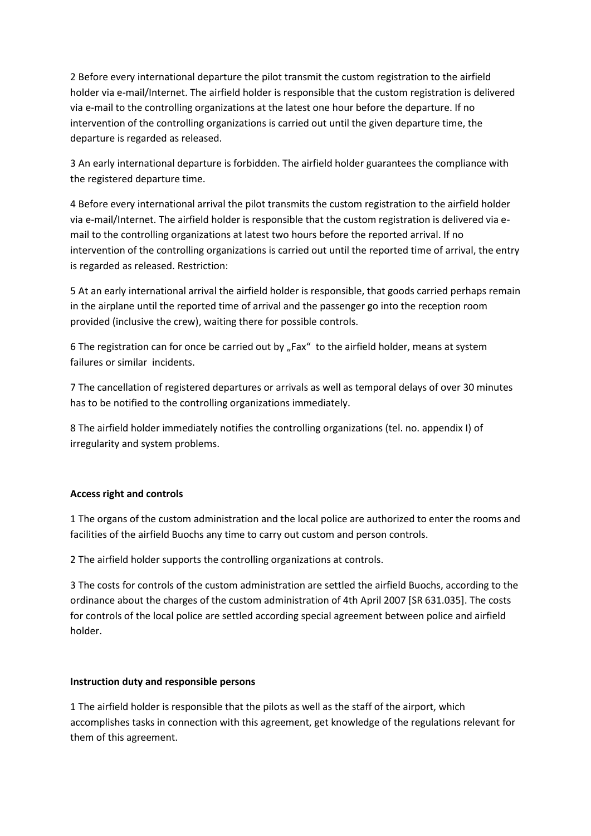2 Before every international departure the pilot transmit the custom registration to the airfield holder via e-mail/Internet. The airfield holder is responsible that the custom registration is delivered via e-mail to the controlling organizations at the latest one hour before the departure. If no intervention of the controlling organizations is carried out until the given departure time, the departure is regarded as released.

3 An early international departure is forbidden. The airfield holder guarantees the compliance with the registered departure time.

4 Before every international arrival the pilot transmits the custom registration to the airfield holder via e-mail/Internet. The airfield holder is responsible that the custom registration is delivered via email to the controlling organizations at latest two hours before the reported arrival. If no intervention of the controlling organizations is carried out until the reported time of arrival, the entry is regarded as released. Restriction:

5 At an early international arrival the airfield holder is responsible, that goods carried perhaps remain in the airplane until the reported time of arrival and the passenger go into the reception room provided (inclusive the crew), waiting there for possible controls.

6 The registration can for once be carried out by "Fax" to the airfield holder, means at system failures or similar incidents.

7 The cancellation of registered departures or arrivals as well as temporal delays of over 30 minutes has to be notified to the controlling organizations immediately.

8 The airfield holder immediately notifies the controlling organizations (tel. no. appendix I) of irregularity and system problems.

# **Access right and controls**

1 The organs of the custom administration and the local police are authorized to enter the rooms and facilities of the airfield Buochs any time to carry out custom and person controls.

2 The airfield holder supports the controlling organizations at controls.

3 The costs for controls of the custom administration are settled the airfield Buochs, according to the ordinance about the charges of the custom administration of 4th April 2007 [SR 631.035]. The costs for controls of the local police are settled according special agreement between police and airfield holder.

### **Instruction duty and responsible persons**

1 The airfield holder is responsible that the pilots as well as the staff of the airport, which accomplishes tasks in connection with this agreement, get knowledge of the regulations relevant for them of this agreement.